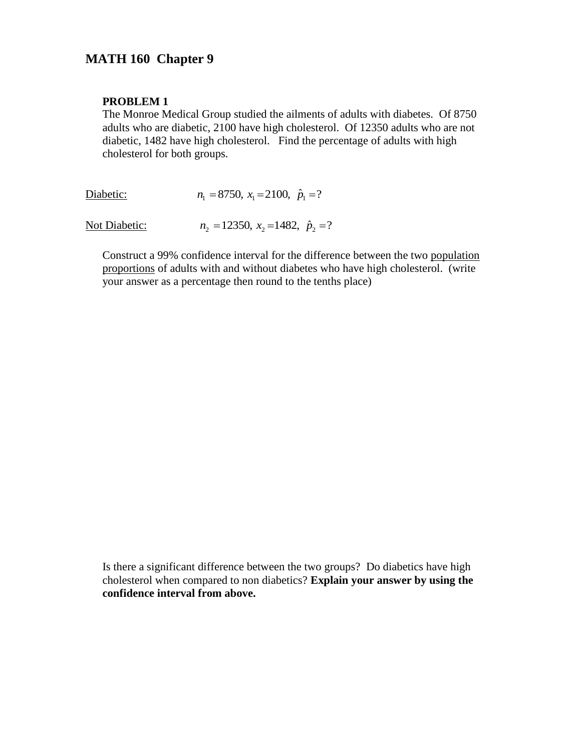# **MATH 160 Chapter 9**

#### **PROBLEM 1**

The Monroe Medical Group studied the ailments of adults with diabetes. Of 8750 adults who are diabetic, 2100 have high cholesterol. Of 12350 adults who are not diabetic, 1482 have high cholesterol. Find the percentage of adults with high cholesterol for both groups.

Diabetic:  $n_1 = 8750$ ,  $x_1 = 2100$ ,  $\hat{p}_1 = ?$ 

Not Diabetic:  $n_2 = 12350$ ,  $x_2 = 1482$ ,  $\hat{p}_2 = ?$ 

Construct a 99% confidence interval for the difference between the two population proportions of adults with and without diabetes who have high cholesterol. (write your answer as a percentage then round to the tenths place)

Is there a significant difference between the two groups? Do diabetics have high cholesterol when compared to non diabetics? **Explain your answer by using the confidence interval from above.**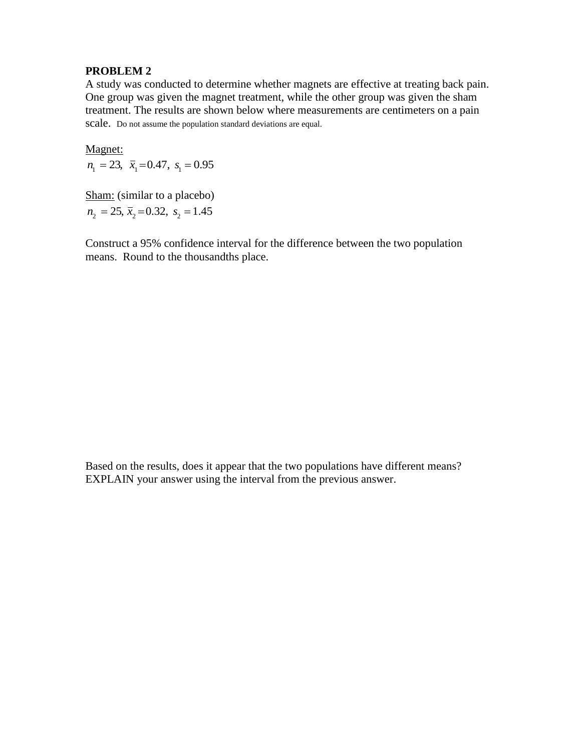A study was conducted to determine whether magnets are effective at treating back pain. One group was given the magnet treatment, while the other group was given the sham treatment. The results are shown below where measurements are centimeters on a pain scale. Do not assume the population standard deviations are equal.

Magnet:

 $n_1 = 23$ ,  $\bar{x}_1 = 0.47$ ,  $s_1 = 0.95$ 

Sham: (similar to a placebo)  $n_2 = 25$ ,  $\bar{x}_2 = 0.32$ ,  $s_2 = 1.45$ 

Construct a 95% confidence interval for the difference between the two population means. Round to the thousandths place.

Based on the results, does it appear that the two populations have different means? EXPLAIN your answer using the interval from the previous answer.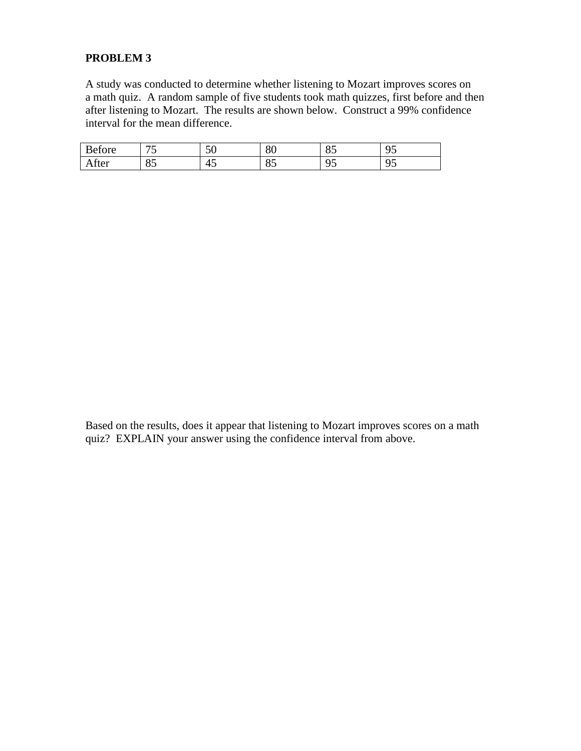A study was conducted to determine whether listening to Mozart improves scores on a math quiz. A random sample of five students took math quizzes, first before and then after listening to Mozart. The results are shown below. Construct a 99% confidence interval for the mean difference.

| Before | --       | $\epsilon$<br>◡ | $\circ$<br>δU | $\cap$ $\vdash$<br>ບຸ     | 05<br>ັ |
|--------|----------|-----------------|---------------|---------------------------|---------|
| Atter  | OΕ<br>ΟJ | 45              | OE<br>ΟJ      | $\sim$ $\sim$<br>. .<br>◡ | 05<br>ັ |

Based on the results, does it appear that listening to Mozart improves scores on a math quiz? EXPLAIN your answer using the confidence interval from above.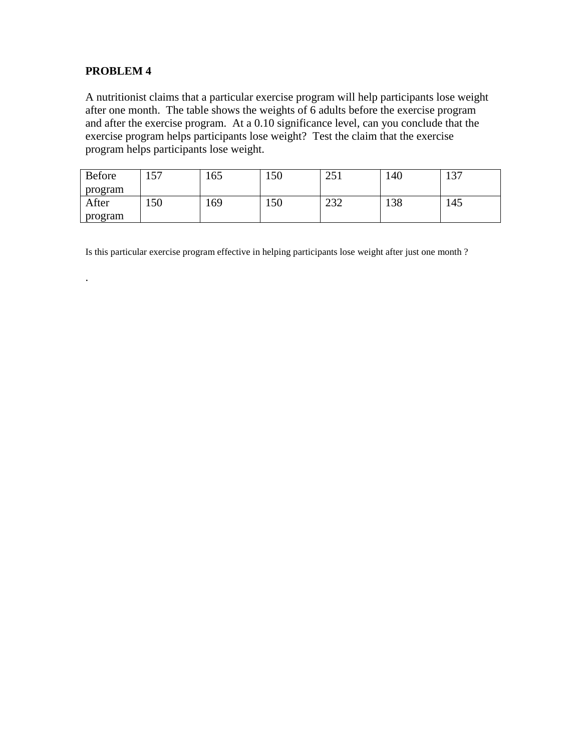.

A nutritionist claims that a particular exercise program will help participants lose weight after one month. The table shows the weights of 6 adults before the exercise program and after the exercise program. At a 0.10 significance level, can you conclude that the exercise program helps participants lose weight? Test the claim that the exercise program helps participants lose weight.

| Before  | $\overline{r}$<br>. J . | .65 | 150 | $\cap$ $\leq$<br>∠J 1 | 140 | $\cap$<br>1 J J |
|---------|-------------------------|-----|-----|-----------------------|-----|-----------------|
| program |                         |     |     |                       |     |                 |
| After   | 150                     | .69 | 150 | $\cap$<br>ے بے        | 138 | 145             |
| program |                         |     |     |                       |     |                 |

Is this particular exercise program effective in helping participants lose weight after just one month ?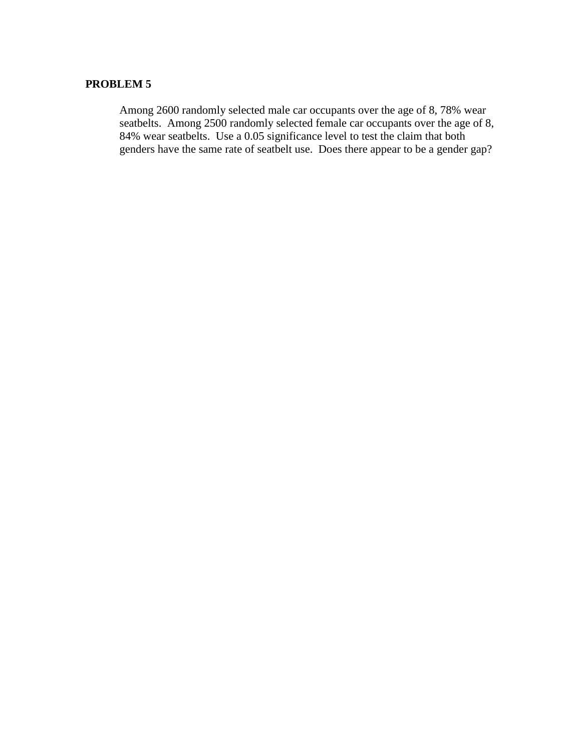Among 2600 randomly selected male car occupants over the age of 8, 78% wear seatbelts. Among 2500 randomly selected female car occupants over the age of 8, 84% wear seatbelts. Use a 0.05 significance level to test the claim that both genders have the same rate of seatbelt use. Does there appear to be a gender gap?